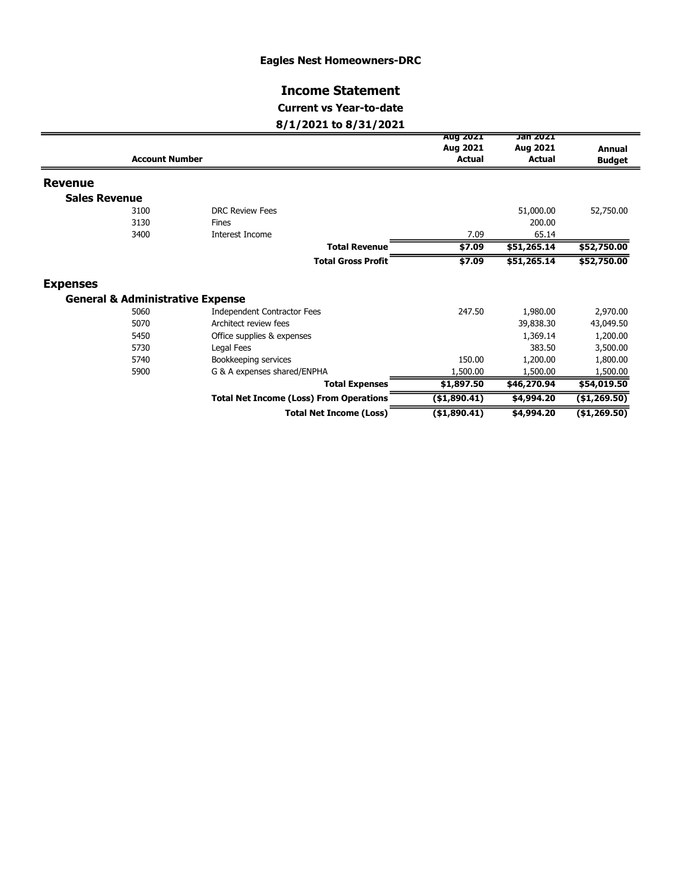### Eagles Nest Homeowners-DRC

#### Income Statement

#### Current vs Year-to-date

#### 8/1/2021 to 8/31/2021

|                      | <b>Account Number</b>                       |                                                | <b>Aug 2021</b><br>Aug 2021<br><b>Actual</b> | Jan 2021<br>Aug 2021<br><b>Actual</b> | Annual        |
|----------------------|---------------------------------------------|------------------------------------------------|----------------------------------------------|---------------------------------------|---------------|
|                      |                                             |                                                |                                              |                                       | <b>Budget</b> |
| <b>Revenue</b>       |                                             |                                                |                                              |                                       |               |
| <b>Sales Revenue</b> |                                             |                                                |                                              |                                       |               |
|                      | 3100                                        | <b>DRC Review Fees</b>                         |                                              | 51,000.00                             | 52,750.00     |
|                      | 3130                                        | <b>Fines</b>                                   |                                              | 200.00                                |               |
|                      | 3400                                        | Interest Income                                | 7.09                                         | 65.14                                 |               |
|                      |                                             | <b>Total Revenue</b>                           | \$7.09                                       | \$51,265.14                           | \$52,750.00   |
|                      |                                             | <b>Total Gross Profit</b>                      | \$7.09                                       | \$51,265.14                           | \$52,750.00   |
| <b>Expenses</b>      |                                             |                                                |                                              |                                       |               |
|                      | <b>General &amp; Administrative Expense</b> |                                                |                                              |                                       |               |
|                      | 5060                                        | <b>Independent Contractor Fees</b>             | 247.50                                       | 1,980.00                              | 2,970.00      |
|                      | 5070                                        | Architect review fees                          |                                              | 39,838.30                             | 43,049.50     |
|                      | 5450                                        | Office supplies & expenses                     |                                              | 1,369.14                              | 1,200.00      |
|                      | 5730                                        | Legal Fees                                     |                                              | 383.50                                | 3,500.00      |
|                      | 5740                                        | Bookkeeping services                           | 150.00                                       | 1,200.00                              | 1,800.00      |
|                      | 5900                                        | G & A expenses shared/ENPHA                    | 1,500.00                                     | 1,500.00                              | 1,500.00      |
|                      |                                             | <b>Total Expenses</b>                          | \$1,897.50                                   | \$46,270.94                           | \$54,019.50   |
|                      |                                             | <b>Total Net Income (Loss) From Operations</b> | $(*1,890.41)$                                | \$4,994.20                            | (\$1,269.50)  |
|                      |                                             | <b>Total Net Income (Loss)</b>                 | ( \$1,890.41)                                | \$4,994.20                            | (\$1,269.50)  |